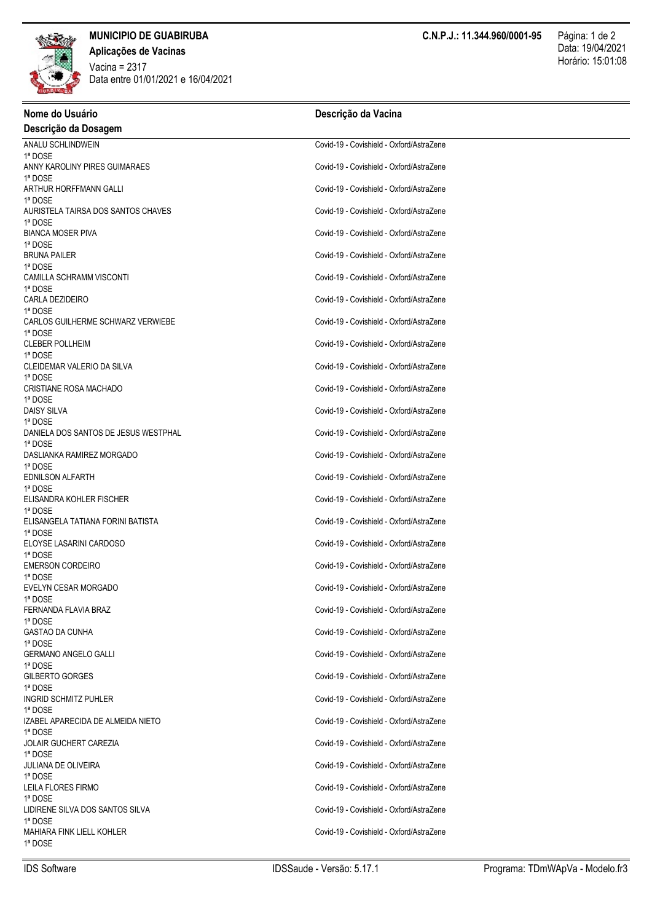

**Aplicações de Vacinas** Horário: 15:01:08 Vacina = 2317 Data entre 01/01/2021 e 16/04/2021

| Nome do Usuário                         | Descrição da Vacina                      |  |
|-----------------------------------------|------------------------------------------|--|
| Descrição da Dosagem                    |                                          |  |
| ANALU SCHLINDWEIN                       | Covid-19 - Covishield - Oxford/AstraZene |  |
| 1ª DOSE                                 |                                          |  |
| ANNY KAROLINY PIRES GUIMARAES           | Covid-19 - Covishield - Oxford/AstraZene |  |
| 1ª DOSE<br>ARTHUR HORFFMANN GALLI       | Covid-19 - Covishield - Oxford/AstraZene |  |
| 1ª DOSE                                 |                                          |  |
| AURISTELA TAIRSA DOS SANTOS CHAVES      | Covid-19 - Covishield - Oxford/AstraZene |  |
| 1ª DOSE                                 |                                          |  |
| <b>BIANCA MOSER PIVA</b>                | Covid-19 - Covishield - Oxford/AstraZene |  |
| 1ª DOSE                                 |                                          |  |
| <b>BRUNA PAILER</b><br>1ª DOSE          | Covid-19 - Covishield - Oxford/AstraZene |  |
| CAMILLA SCHRAMM VISCONTI                | Covid-19 - Covishield - Oxford/AstraZene |  |
| 1ª DOSE                                 |                                          |  |
| CARLA DEZIDEIRO                         | Covid-19 - Covishield - Oxford/AstraZene |  |
| 1ª DOSE                                 |                                          |  |
| CARLOS GUILHERME SCHWARZ VERWIEBE       | Covid-19 - Covishield - Oxford/AstraZene |  |
| 1ª DOSE<br><b>CLEBER POLLHEIM</b>       | Covid-19 - Covishield - Oxford/AstraZene |  |
| 1ª DOSE                                 |                                          |  |
| CLEIDEMAR VALERIO DA SILVA              | Covid-19 - Covishield - Oxford/AstraZene |  |
| 1ª DOSE                                 |                                          |  |
| <b>CRISTIANE ROSA MACHADO</b>           | Covid-19 - Covishield - Oxford/AstraZene |  |
| 1ª DOSE                                 |                                          |  |
| <b>DAISY SILVA</b><br>1ª DOSE           | Covid-19 - Covishield - Oxford/AstraZene |  |
| DANIELA DOS SANTOS DE JESUS WESTPHAL    | Covid-19 - Covishield - Oxford/AstraZene |  |
| 1ª DOSE                                 |                                          |  |
| DASLIANKA RAMIREZ MORGADO               | Covid-19 - Covishield - Oxford/AstraZene |  |
| 1ª DOSE                                 |                                          |  |
| <b>EDNILSON ALFARTH</b><br>1ª DOSE      | Covid-19 - Covishield - Oxford/AstraZene |  |
| ELISANDRA KOHLER FISCHER                | Covid-19 - Covishield - Oxford/AstraZene |  |
| 1ª DOSE                                 |                                          |  |
| ELISANGELA TATIANA FORINI BATISTA       | Covid-19 - Covishield - Oxford/AstraZene |  |
| 1ª DOSE                                 |                                          |  |
| ELOYSE LASARINI CARDOSO                 | Covid-19 - Covishield - Oxford/AstraZene |  |
| 1ª DOSE<br><b>EMERSON CORDEIRO</b>      | Covid-19 - Covishield - Oxford/AstraZene |  |
| 1ª DOSE                                 |                                          |  |
| EVELYN CESAR MORGADO                    | Covid-19 - Covishield - Oxford/AstraZene |  |
| 1ª DOSE                                 |                                          |  |
| FERNANDA FLAVIA BRAZ                    | Covid-19 - Covishield - Oxford/AstraZene |  |
| 1ª DOSE<br><b>GASTAO DA CUNHA</b>       | Covid-19 - Covishield - Oxford/AstraZene |  |
| 1ª DOSE                                 |                                          |  |
| <b>GERMANO ANGELO GALLI</b>             | Covid-19 - Covishield - Oxford/AstraZene |  |
| 1ª DOSE                                 |                                          |  |
| GILBERTO GORGES                         | Covid-19 - Covishield - Oxford/AstraZene |  |
| 1ª DOSE                                 |                                          |  |
| <b>INGRID SCHMITZ PUHLER</b><br>1ª DOSE | Covid-19 - Covishield - Oxford/AstraZene |  |
| IZABEL APARECIDA DE ALMEIDA NIETO       | Covid-19 - Covishield - Oxford/AstraZene |  |
| 1ª DOSE                                 |                                          |  |
| JOLAIR GUCHERT CAREZIA                  | Covid-19 - Covishield - Oxford/AstraZene |  |
| 1ª DOSE                                 |                                          |  |
| <b>JULIANA DE OLIVEIRA</b>              | Covid-19 - Covishield - Oxford/AstraZene |  |
| 1ª DOSE<br>LEILA FLORES FIRMO           | Covid-19 - Covishield - Oxford/AstraZene |  |
| 1ª DOSE                                 |                                          |  |
| LIDIRENE SILVA DOS SANTOS SILVA         | Covid-19 - Covishield - Oxford/AstraZene |  |
| 1ª DOSE                                 |                                          |  |
| MAHIARA FINK LIELL KOHLER               | Covid-19 - Covishield - Oxford/AstraZene |  |
| 1ª DOSE                                 |                                          |  |